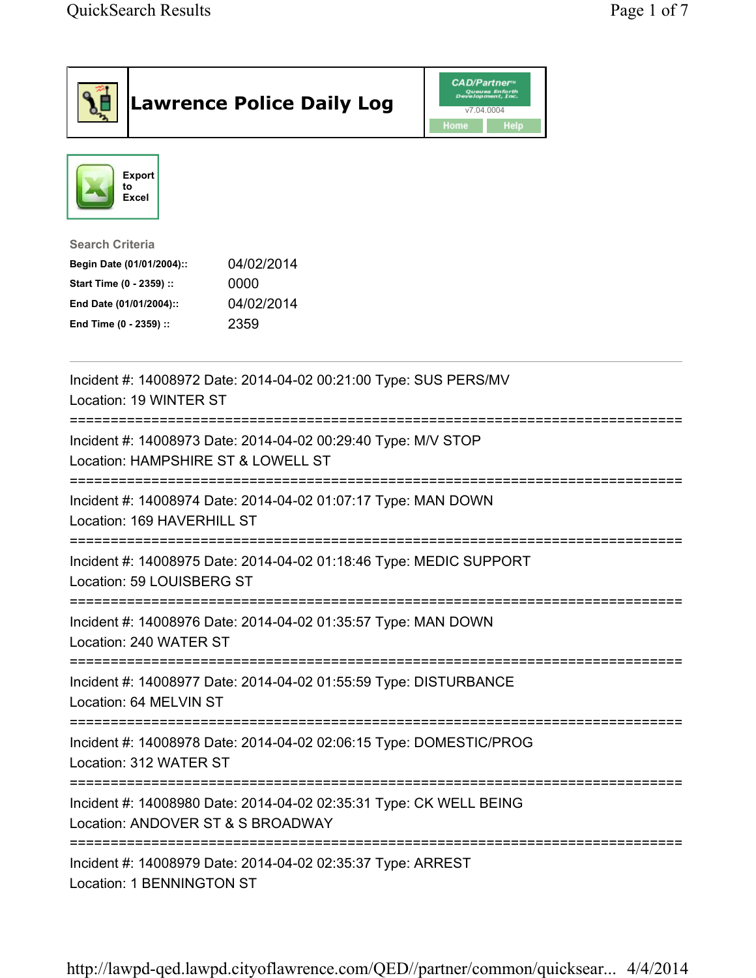|                                                                                                                                      | <b>Lawrence Police Daily Log</b>                                   | <b>CAD/Partner</b> "<br>Queues Enforth<br>Development, Inc.<br>v7.04.0004<br>Home<br>Help |  |
|--------------------------------------------------------------------------------------------------------------------------------------|--------------------------------------------------------------------|-------------------------------------------------------------------------------------------|--|
| <b>Export</b><br>to<br><b>Excel</b>                                                                                                  |                                                                    |                                                                                           |  |
| <b>Search Criteria</b><br>Begin Date (01/01/2004)::<br>Start Time (0 - 2359) ::<br>End Date (01/01/2004)::<br>End Time (0 - 2359) :: | 04/02/2014<br>0000<br>04/02/2014<br>2359                           |                                                                                           |  |
| Location: 19 WINTER ST                                                                                                               | Incident #: 14008972 Date: 2014-04-02 00:21:00 Type: SUS PERS/MV   |                                                                                           |  |
| Location: HAMPSHIRE ST & LOWELL ST                                                                                                   | Incident #: 14008973 Date: 2014-04-02 00:29:40 Type: M/V STOP      |                                                                                           |  |
| Location: 169 HAVERHILL ST                                                                                                           | Incident #: 14008974 Date: 2014-04-02 01:07:17 Type: MAN DOWN      |                                                                                           |  |
| Location: 59 LOUISBERG ST                                                                                                            | Incident #: 14008975 Date: 2014-04-02 01:18:46 Type: MEDIC SUPPORT |                                                                                           |  |
| Location: 240 WATER ST                                                                                                               | Incident #: 14008976 Date: 2014-04-02 01:35:57 Type: MAN DOWN      |                                                                                           |  |
| Location: 64 MELVIN ST                                                                                                               | Incident #: 14008977 Date: 2014-04-02 01:55:59 Type: DISTURBANCE   |                                                                                           |  |
| :===================<br>Location: 312 WATER ST                                                                                       | Incident #: 14008978 Date: 2014-04-02 02:06:15 Type: DOMESTIC/PROG |                                                                                           |  |
| Location: ANDOVER ST & S BROADWAY                                                                                                    | Incident #: 14008980 Date: 2014-04-02 02:35:31 Type: CK WELL BEING |                                                                                           |  |
| Incident #: 14008979 Date: 2014-04-02 02:35:37 Type: ARREST                                                                          |                                                                    |                                                                                           |  |

Location: 1 BENNINGTON ST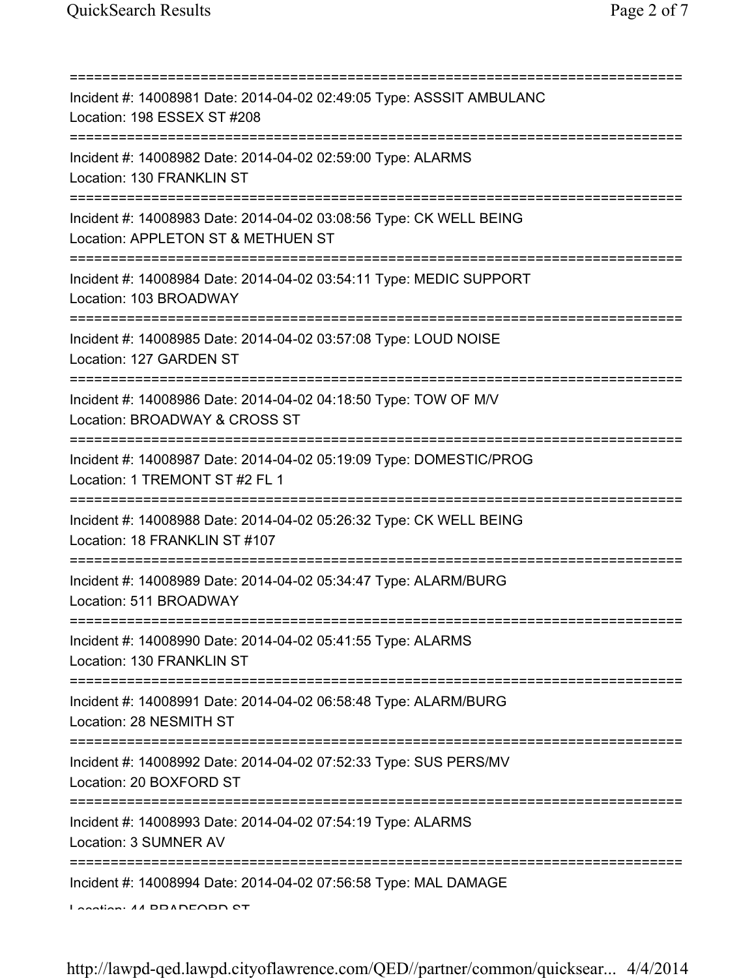| Incident #: 14008981 Date: 2014-04-02 02:49:05 Type: ASSSIT AMBULANC<br>Location: 198 ESSEX ST #208                   |
|-----------------------------------------------------------------------------------------------------------------------|
| Incident #: 14008982 Date: 2014-04-02 02:59:00 Type: ALARMS<br>Location: 130 FRANKLIN ST                              |
| Incident #: 14008983 Date: 2014-04-02 03:08:56 Type: CK WELL BEING<br>Location: APPLETON ST & METHUEN ST              |
| Incident #: 14008984 Date: 2014-04-02 03:54:11 Type: MEDIC SUPPORT<br>Location: 103 BROADWAY                          |
| Incident #: 14008985 Date: 2014-04-02 03:57:08 Type: LOUD NOISE<br>Location: 127 GARDEN ST                            |
| Incident #: 14008986 Date: 2014-04-02 04:18:50 Type: TOW OF M/V<br>Location: BROADWAY & CROSS ST                      |
| Incident #: 14008987 Date: 2014-04-02 05:19:09 Type: DOMESTIC/PROG<br>Location: 1 TREMONT ST #2 FL 1                  |
| Incident #: 14008988 Date: 2014-04-02 05:26:32 Type: CK WELL BEING<br>Location: 18 FRANKLIN ST #107                   |
| Incident #: 14008989 Date: 2014-04-02 05:34:47 Type: ALARM/BURG<br>Location: 511 BROADWAY                             |
| Incident #: 14008990 Date: 2014-04-02 05:41:55 Type: ALARMS<br>Location: 130 FRANKLIN ST<br>========================= |
| Incident #: 14008991 Date: 2014-04-02 06:58:48 Type: ALARM/BURG<br>Location: 28 NESMITH ST                            |
| Incident #: 14008992 Date: 2014-04-02 07:52:33 Type: SUS PERS/MV<br>Location: 20 BOXFORD ST                           |
| Incident #: 14008993 Date: 2014-04-02 07:54:19 Type: ALARMS<br>Location: 3 SUMNER AV                                  |
| Incident #: 14008994 Date: 2014-04-02 07:56:58 Type: MAL DAMAGE<br>Lootion: 44 DDADEODD CT                            |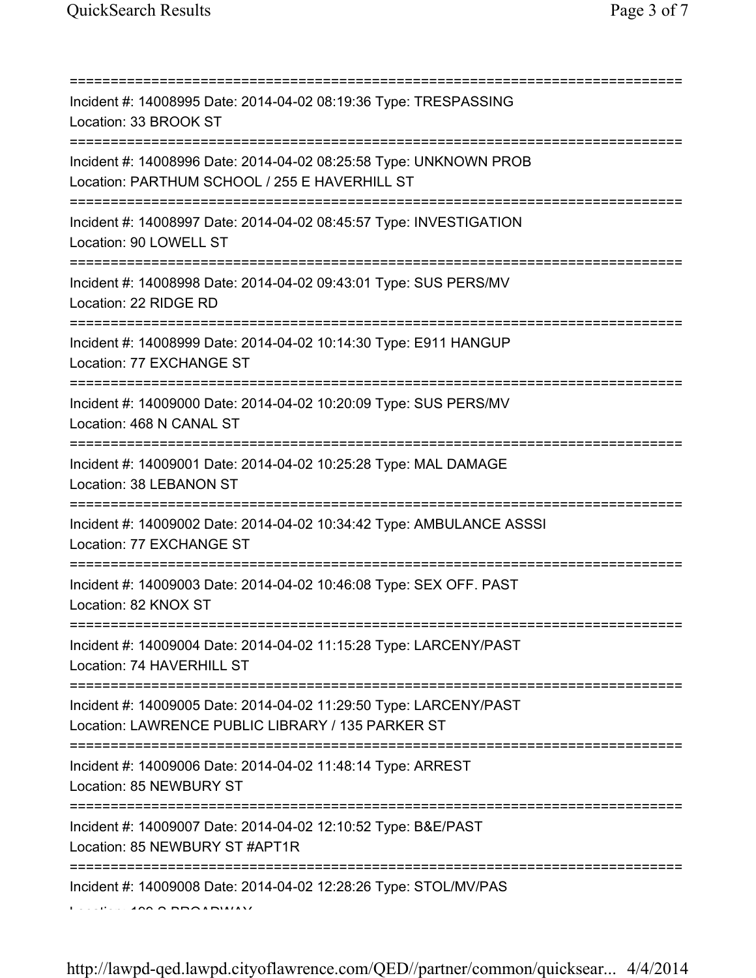| Incident #: 14008995 Date: 2014-04-02 08:19:36 Type: TRESPASSING<br>Location: 33 BROOK ST<br>===========================              |
|---------------------------------------------------------------------------------------------------------------------------------------|
| Incident #: 14008996 Date: 2014-04-02 08:25:58 Type: UNKNOWN PROB<br>Location: PARTHUM SCHOOL / 255 E HAVERHILL ST                    |
| Incident #: 14008997 Date: 2014-04-02 08:45:57 Type: INVESTIGATION<br>Location: 90 LOWELL ST                                          |
| Incident #: 14008998 Date: 2014-04-02 09:43:01 Type: SUS PERS/MV<br>Location: 22 RIDGE RD                                             |
| Incident #: 14008999 Date: 2014-04-02 10:14:30 Type: E911 HANGUP<br>Location: 77 EXCHANGE ST<br>===================================== |
| Incident #: 14009000 Date: 2014-04-02 10:20:09 Type: SUS PERS/MV<br>Location: 468 N CANAL ST<br>;===============================      |
| Incident #: 14009001 Date: 2014-04-02 10:25:28 Type: MAL DAMAGE<br>Location: 38 LEBANON ST                                            |
| Incident #: 14009002 Date: 2014-04-02 10:34:42 Type: AMBULANCE ASSSI<br>Location: 77 EXCHANGE ST                                      |
| Incident #: 14009003 Date: 2014-04-02 10:46:08 Type: SEX OFF. PAST<br>Location: 82 KNOX ST                                            |
| Incident #: 14009004 Date: 2014-04-02 11:15:28 Type: LARCENY/PAST<br>Location: 74 HAVERHILL ST                                        |
| Incident #: 14009005 Date: 2014-04-02 11:29:50 Type: LARCENY/PAST<br>Location: LAWRENCE PUBLIC LIBRARY / 135 PARKER ST                |
| Incident #: 14009006 Date: 2014-04-02 11:48:14 Type: ARREST<br>Location: 85 NEWBURY ST                                                |
| Incident #: 14009007 Date: 2014-04-02 12:10:52 Type: B&E/PAST<br>Location: 85 NEWBURY ST #APT1R                                       |
| Incident #: 14009008 Date: 2014-04-02 12:28:26 Type: STOL/MV/PAS                                                                      |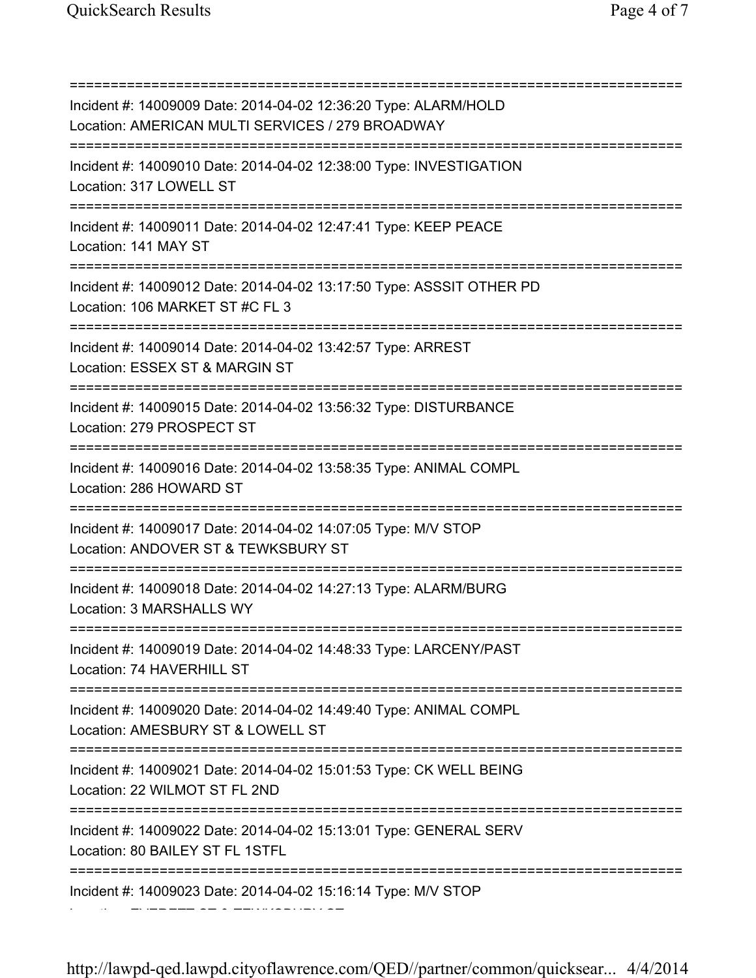=========================================================================== Incident #: 14009009 Date: 2014-04-02 12:36:20 Type: ALARM/HOLD Location: AMERICAN MULTI SERVICES / 279 BROADWAY =========================================================================== Incident #: 14009010 Date: 2014-04-02 12:38:00 Type: INVESTIGATION Location: 317 LOWELL ST =========================================================================== Incident #: 14009011 Date: 2014-04-02 12:47:41 Type: KEEP PEACE Location: 141 MAY ST =========================================================================== Incident #: 14009012 Date: 2014-04-02 13:17:50 Type: ASSSIT OTHER PD Location: 106 MARKET ST #C FL 3 =========================================================================== Incident #: 14009014 Date: 2014-04-02 13:42:57 Type: ARREST Location: ESSEX ST & MARGIN ST =========================================================================== Incident #: 14009015 Date: 2014-04-02 13:56:32 Type: DISTURBANCE Location: 279 PROSPECT ST =========================================================================== Incident #: 14009016 Date: 2014-04-02 13:58:35 Type: ANIMAL COMPL Location: 286 HOWARD ST =========================================================================== Incident #: 14009017 Date: 2014-04-02 14:07:05 Type: M/V STOP Location: ANDOVER ST & TEWKSBURY ST =========================================================================== Incident #: 14009018 Date: 2014-04-02 14:27:13 Type: ALARM/BURG Location: 3 MARSHALLS WY =========================================================================== Incident #: 14009019 Date: 2014-04-02 14:48:33 Type: LARCENY/PAST Location: 74 HAVERHILL ST =========================================================================== Incident #: 14009020 Date: 2014-04-02 14:49:40 Type: ANIMAL COMPL Location: AMESBURY ST & LOWELL ST =========================================================================== Incident #: 14009021 Date: 2014-04-02 15:01:53 Type: CK WELL BEING Location: 22 WILMOT ST FL 2ND =========================================================================== Incident #: 14009022 Date: 2014-04-02 15:13:01 Type: GENERAL SERV Location: 80 BAILEY ST FL 1STFL =========================================================================== Incident #: 14009023 Date: 2014-04-02 15:16:14 Type: M/V STOP

http://lawpd-qed.lawpd.cityoflawrence.com/QED//partner/common/quicksear... 4/4/2014

Location: EVERETT ST & TEWKSBURY ST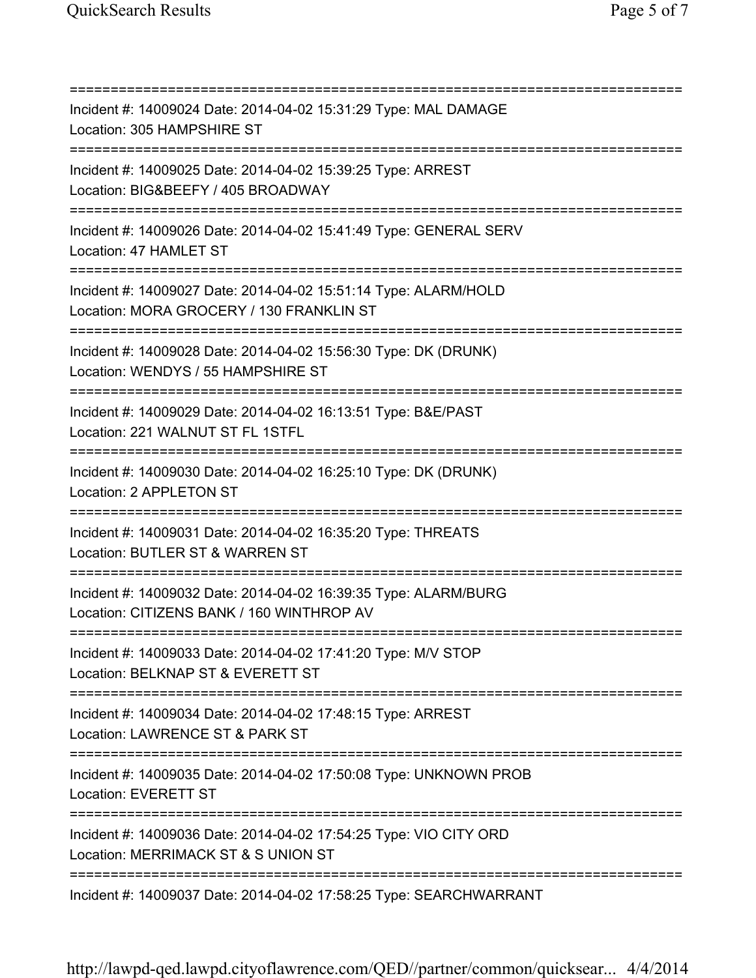=========================================================================== Incident #: 14009024 Date: 2014-04-02 15:31:29 Type: MAL DAMAGE Location: 305 HAMPSHIRE ST =========================================================================== Incident #: 14009025 Date: 2014-04-02 15:39:25 Type: ARREST Location: BIG&BEEFY / 405 BROADWAY =========================================================================== Incident #: 14009026 Date: 2014-04-02 15:41:49 Type: GENERAL SERV Location: 47 HAMLET ST =========================================================================== Incident #: 14009027 Date: 2014-04-02 15:51:14 Type: ALARM/HOLD Location: MORA GROCERY / 130 FRANKLIN ST =========================================================================== Incident #: 14009028 Date: 2014-04-02 15:56:30 Type: DK (DRUNK) Location: WENDYS / 55 HAMPSHIRE ST =========================================================================== Incident #: 14009029 Date: 2014-04-02 16:13:51 Type: B&E/PAST Location: 221 WALNUT ST FL 1STFL =========================================================================== Incident #: 14009030 Date: 2014-04-02 16:25:10 Type: DK (DRUNK) Location: 2 APPLETON ST =========================================================================== Incident #: 14009031 Date: 2014-04-02 16:35:20 Type: THREATS Location: BUTLER ST & WARREN ST =========================================================================== Incident #: 14009032 Date: 2014-04-02 16:39:35 Type: ALARM/BURG Location: CITIZENS BANK / 160 WINTHROP AV =========================================================================== Incident #: 14009033 Date: 2014-04-02 17:41:20 Type: M/V STOP Location: BELKNAP ST & EVERETT ST =========================================================================== Incident #: 14009034 Date: 2014-04-02 17:48:15 Type: ARREST Location: LAWRENCE ST & PARK ST =========================================================================== Incident #: 14009035 Date: 2014-04-02 17:50:08 Type: UNKNOWN PROB Location: EVERETT ST =========================================================================== Incident #: 14009036 Date: 2014-04-02 17:54:25 Type: VIO CITY ORD Location: MERRIMACK ST & S UNION ST =========================================================================== Incident #: 14009037 Date: 2014-04-02 17:58:25 Type: SEARCHWARRANT

http://lawpd-qed.lawpd.cityoflawrence.com/QED//partner/common/quicksear... 4/4/2014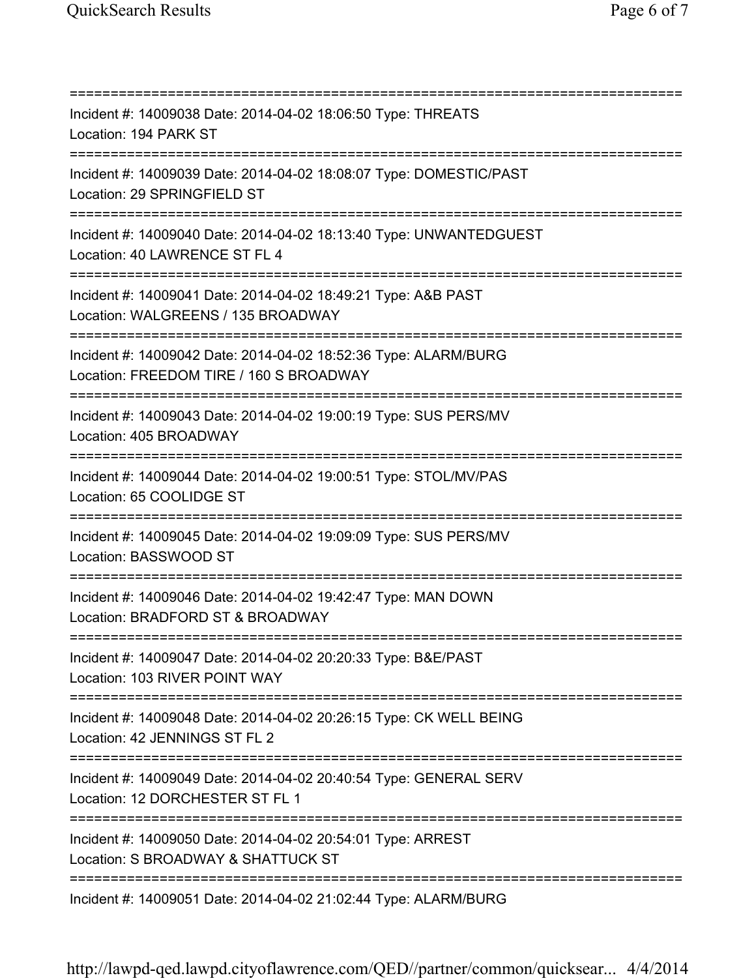=========================================================================== Incident #: 14009038 Date: 2014-04-02 18:06:50 Type: THREATS Location: 194 PARK ST =========================================================================== Incident #: 14009039 Date: 2014-04-02 18:08:07 Type: DOMESTIC/PAST Location: 29 SPRINGFIELD ST =========================================================================== Incident #: 14009040 Date: 2014-04-02 18:13:40 Type: UNWANTEDGUEST Location: 40 LAWRENCE ST FL 4 =========================================================================== Incident #: 14009041 Date: 2014-04-02 18:49:21 Type: A&B PAST Location: WALGREENS / 135 BROADWAY =========================================================================== Incident #: 14009042 Date: 2014-04-02 18:52:36 Type: ALARM/BURG Location: FREEDOM TIRE / 160 S BROADWAY =========================================================================== Incident #: 14009043 Date: 2014-04-02 19:00:19 Type: SUS PERS/MV Location: 405 BROADWAY =========================================================================== Incident #: 14009044 Date: 2014-04-02 19:00:51 Type: STOL/MV/PAS Location: 65 COOLIDGE ST =========================================================================== Incident #: 14009045 Date: 2014-04-02 19:09:09 Type: SUS PERS/MV Location: BASSWOOD ST =========================================================================== Incident #: 14009046 Date: 2014-04-02 19:42:47 Type: MAN DOWN Location: BRADFORD ST & BROADWAY =========================================================================== Incident #: 14009047 Date: 2014-04-02 20:20:33 Type: B&E/PAST Location: 103 RIVER POINT WAY =========================================================================== Incident #: 14009048 Date: 2014-04-02 20:26:15 Type: CK WELL BEING Location: 42 JENNINGS ST FL 2 =========================================================================== Incident #: 14009049 Date: 2014-04-02 20:40:54 Type: GENERAL SERV Location: 12 DORCHESTER ST FL 1 =========================================================================== Incident #: 14009050 Date: 2014-04-02 20:54:01 Type: ARREST Location: S BROADWAY & SHATTUCK ST =========================================================================== Incident #: 14009051 Date: 2014-04-02 21:02:44 Type: ALARM/BURG

http://lawpd-qed.lawpd.cityoflawrence.com/QED//partner/common/quicksear... 4/4/2014